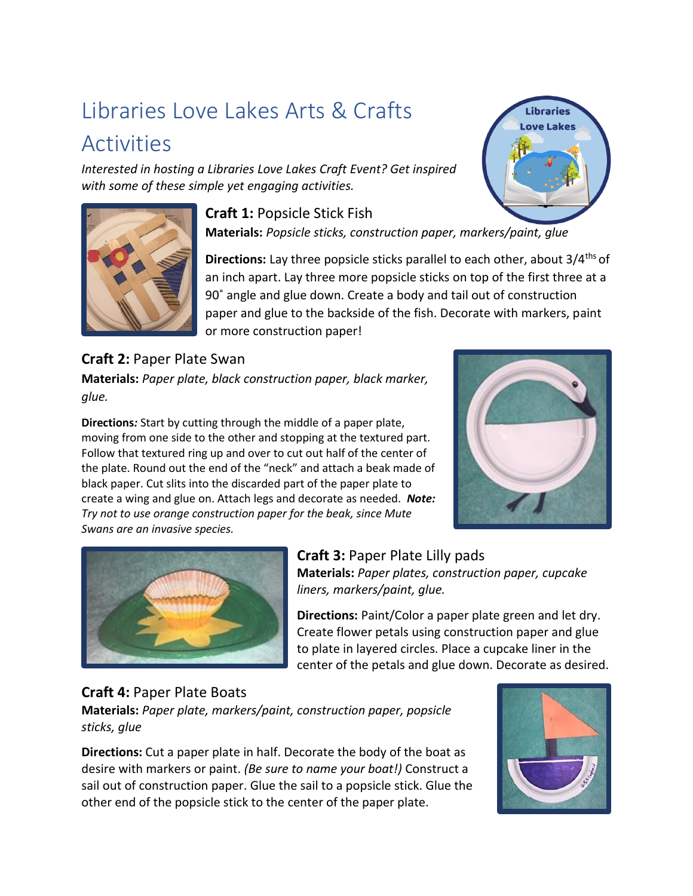# Libraries Love Lakes Arts & Crafts **Activities**

*Interested in hosting a Libraries Love Lakes Craft Event? Get inspired with some of these simple yet engaging activities.* 



**Craft 1:** Popsicle Stick Fish

**Materials:** *Popsicle sticks, construction paper, markers/paint, glue*

**Directions:** Lay three popsicle sticks parallel to each other, about 3/4<sup>ths</sup> of an inch apart. Lay three more popsicle sticks on top of the first three at a 90˚ angle and glue down. Create a body and tail out of construction paper and glue to the backside of the fish. Decorate with markers, paint or more construction paper!

**Craft 2:** Paper Plate Swan **Materials:** *Paper plate, black construction paper, black marker, glue.* 

**Directions***:* Start by cutting through the middle of a paper plate, moving from one side to the other and stopping at the textured part. Follow that textured ring up and over to cut out half of the center of the plate. Round out the end of the "neck" and attach a beak made of black paper. Cut slits into the discarded part of the paper plate to create a wing and glue on. Attach legs and decorate as needed. *Note: Try not to use orange construction paper for the beak, since Mute Swans are an invasive species.*





# **Craft 3:** Paper Plate Lilly pads

**Materials:** *Paper plates, construction paper, cupcake liners, markers/paint, glue.* 

**Directions:** Paint/Color a paper plate green and let dry. Create flower petals using construction paper and glue to plate in layered circles. Place a cupcake liner in the center of the petals and glue down. Decorate as desired.

# **Craft 4:** Paper Plate Boats

**Materials:** *Paper plate, markers/paint, construction paper, popsicle sticks, glue*

**Directions:** Cut a paper plate in half. Decorate the body of the boat as desire with markers or paint. *(Be sure to name your boat!)* Construct a sail out of construction paper. Glue the sail to a popsicle stick. Glue the other end of the popsicle stick to the center of the paper plate.